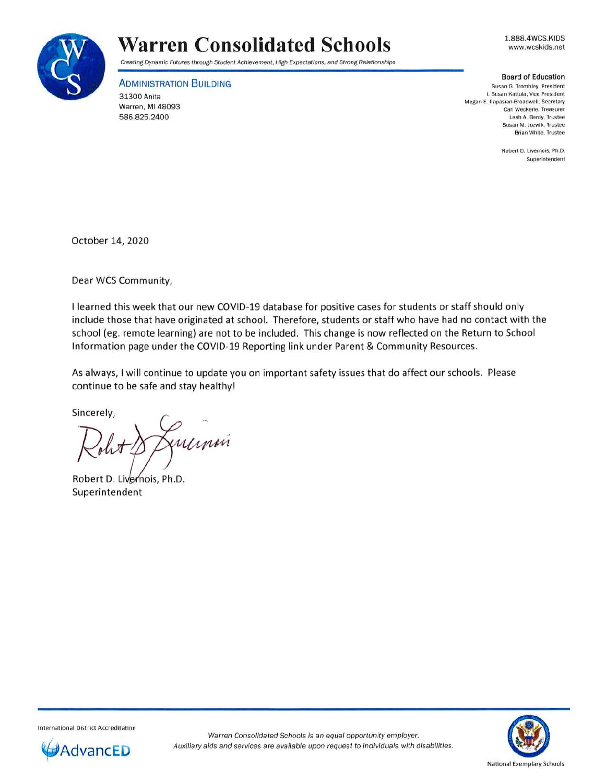

## **Warren Consolidated Schools**

Creating Dynamic Futures through Student Achievement, High Expectations, and Strong Relationships

**ADMINISTRATION BUILDING** 

31300 Anita Warren, Ml 48093 586.825.2400

1.888.4WCS.KIDS www.wcskids.net

## **Board of Education**

Susan G. Trombley. President **I. Susan Kattula, Vice President Megan E. Papasian-Broadwell , Secretary Carl Weckerle, Treasurer** Leah A. Berdy. Trustee **Susan M. Jozwik. Trustee Brian White, Trustee** 

> **Robert D. Livernois. Ph.D. Superintendent**

October 14, 2020

Dear WCS Community,

I learned this week that our new COVID-19 database for positive cases for students or staff should only include those that have originated at school. Therefore, students or staff who have had no contact with the school (eg. remote learning) are not to be included. This change is now reflected on the Return to School Information page under the COVID-19 Reporting link under Parent & Community Resources.

As always, I will continue to update you on important safety issues that do affect our schools. Please continue to be safe and stay healthy!

Sincerely,

xummi

Robert D. Livernois, Ph.D. Superintendent



**International District Accreditation**